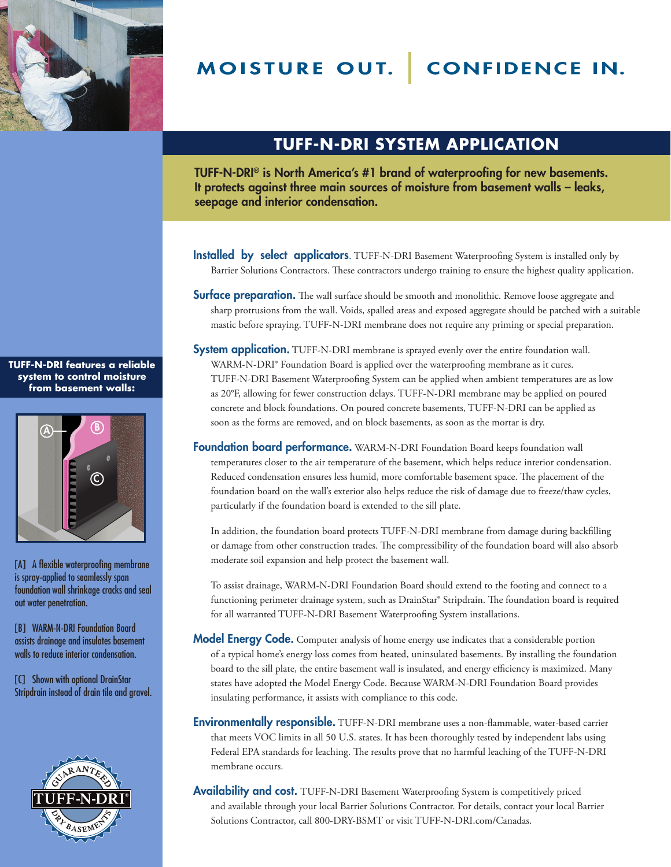

MOISTURE OUT. CONFIDENCE IN.

## **TUFF-N-DRI SYSTEM APPLICATION**

TUFF-N-DRI® is North America's #1 brand of waterproofing for new basements. It protects against three main sources of moisture from basement walls – leaks, seepage and interior condensation.

- Installed by select applicators. TUFF-N-DRI Basement Waterproofing System is installed only by Barrier Solutions Contractors. These contractors undergo training to ensure the highest quality application.
- **Surface preparation.** The wall surface should be smooth and monolithic. Remove loose aggregate and sharp protrusions from the wall. Voids, spalled areas and exposed aggregate should be patched with a suitable mastic before spraying. TUFF-N-DRI membrane does not require any priming or special preparation.
- **System application.** TUFF-N-DRI membrane is sprayed evenly over the entire foundation wall. WARM-N-DRI® Foundation Board is applied over the waterproofing membrane as it cures. TUFF-N-DRI Basement Waterproofing System can be applied when ambient temperatures are as low as 20°F, allowing for fewer construction delays. TUFF-N-DRI membrane may be applied on poured concrete and block foundations. On poured concrete basements, TUFF-N-DRI can be applied as soon as the forms are removed, and on block basements, as soon as the mortar is dry.
- Foundation board performance. WARM-N-DRI Foundation Board keeps foundation wall temperatures closer to the air temperature of the basement, which helps reduce interior condensation. Reduced condensation ensures less humid, more comfortable basement space. The placement of the foundation board on the wall's exterior also helps reduce the risk of damage due to freeze/thaw cycles, particularly if the foundation board is extended to the sill plate.

In addition, the foundation board protects TUFF-N-DRI membrane from damage during backfilling or damage from other construction trades. The compressibility of the foundation board will also absorb moderate soil expansion and help protect the basement wall.

To assist drainage, WARM-N-DRI Foundation Board should extend to the footing and connect to a functioning perimeter drainage system, such as DrainStar® Stripdrain. The foundation board is required for all warranted TUFF-N-DRI Basement Waterproofing System installations.

- **Model Energy Code.** Computer analysis of home energy use indicates that a considerable portion of a typical home's energy loss comes from heated, uninsulated basements. By installing the foundation board to the sill plate, the entire basement wall is insulated, and energy efficiency is maximized. Many states have adopted the Model Energy Code. Because WARM-N-DRI Foundation Board provides insulating performance, it assists with compliance to this code.
- Environmentally responsible. TUFF-N-DRI membrane uses a non-flammable, water-based carrier that meets VOC limits in all 50 U.S. states. It has been thoroughly tested by independent labs using Federal EPA standards for leaching. The results prove that no harmful leaching of the TUFF-N-DRI membrane occurs.
- Availability and cost. TUFF-N-DRI Basement Waterproofing System is competitively priced and available through your local Barrier Solutions Contractor. For details, contact your local Barrier Solutions Contractor, call 800-DRY-BSMT or visit TUFF-N-DRI.com/Canadas.

**TUFF-N-DRI features a reliable system to control moisture from basement walls:**



[A] A flexible waterproofing membrane is spray-applied to seamlessly span foundation wall shrinkage cracks and seal out water penetration.

[B] WARM-N-DRI Foundation Board assists drainage and insulates basement walls to reduce interior condensation.

[C] Shown with optional DrainStar Stripdrain instead of drain tile and gravel.